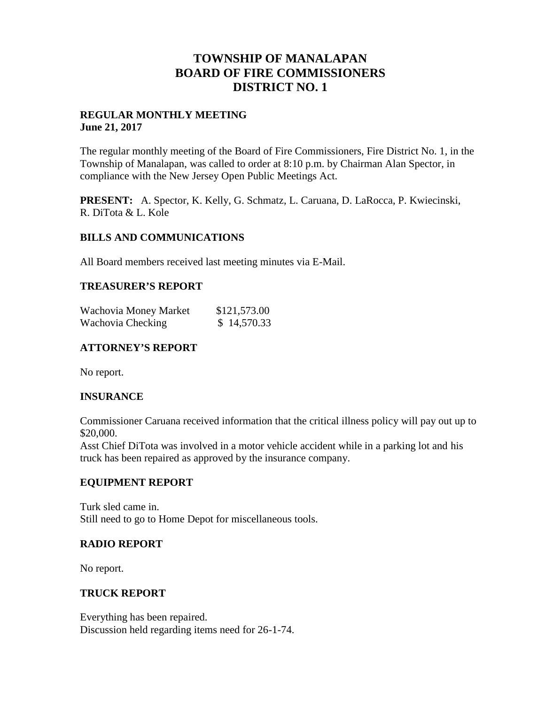# **TOWNSHIP OF MANALAPAN BOARD OF FIRE COMMISSIONERS DISTRICT NO. 1**

### **REGULAR MONTHLY MEETING June 21, 2017**

The regular monthly meeting of the Board of Fire Commissioners, Fire District No. 1, in the Township of Manalapan, was called to order at 8:10 p.m. by Chairman Alan Spector, in compliance with the New Jersey Open Public Meetings Act.

**PRESENT:** A. Spector, K. Kelly, G. Schmatz, L. Caruana, D. LaRocca, P. Kwiecinski, R. DiTota & L. Kole

## **BILLS AND COMMUNICATIONS**

All Board members received last meeting minutes via E-Mail.

## **TREASURER'S REPORT**

| Wachovia Money Market | \$121,573.00 |
|-----------------------|--------------|
| Wachovia Checking     | \$14,570.33  |

# **ATTORNEY'S REPORT**

No report.

# **INSURANCE**

Commissioner Caruana received information that the critical illness policy will pay out up to \$20,000.

Asst Chief DiTota was involved in a motor vehicle accident while in a parking lot and his truck has been repaired as approved by the insurance company.

### **EQUIPMENT REPORT**

Turk sled came in. Still need to go to Home Depot for miscellaneous tools.

### **RADIO REPORT**

No report.

### **TRUCK REPORT**

Everything has been repaired. Discussion held regarding items need for 26-1-74.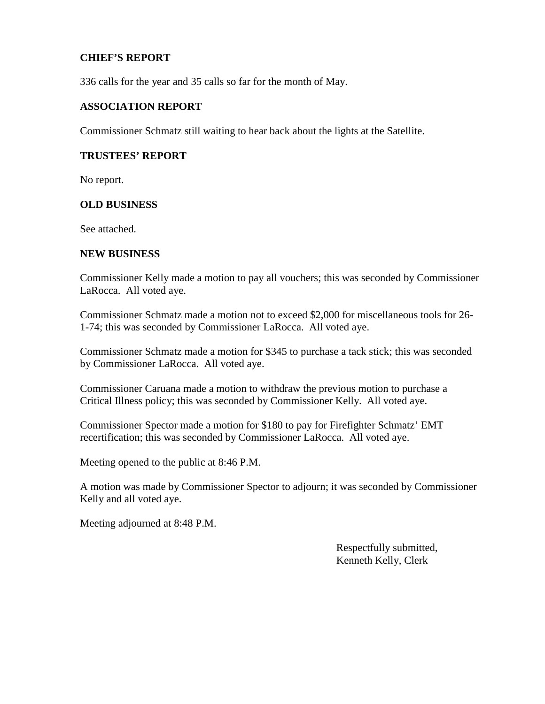## **CHIEF'S REPORT**

336 calls for the year and 35 calls so far for the month of May.

#### **ASSOCIATION REPORT**

Commissioner Schmatz still waiting to hear back about the lights at the Satellite.

#### **TRUSTEES' REPORT**

No report.

#### **OLD BUSINESS**

See attached.

#### **NEW BUSINESS**

Commissioner Kelly made a motion to pay all vouchers; this was seconded by Commissioner LaRocca. All voted aye.

Commissioner Schmatz made a motion not to exceed \$2,000 for miscellaneous tools for 26- 1-74; this was seconded by Commissioner LaRocca. All voted aye.

Commissioner Schmatz made a motion for \$345 to purchase a tack stick; this was seconded by Commissioner LaRocca. All voted aye.

Commissioner Caruana made a motion to withdraw the previous motion to purchase a Critical Illness policy; this was seconded by Commissioner Kelly. All voted aye.

Commissioner Spector made a motion for \$180 to pay for Firefighter Schmatz' EMT recertification; this was seconded by Commissioner LaRocca. All voted aye.

Meeting opened to the public at 8:46 P.M.

A motion was made by Commissioner Spector to adjourn; it was seconded by Commissioner Kelly and all voted aye.

Meeting adjourned at 8:48 P.M.

Respectfully submitted, Kenneth Kelly, Clerk